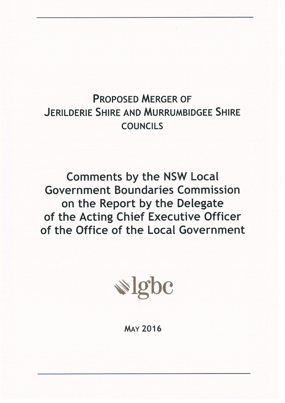# **PROPOSED MERGER OF JERILDERIE SHIRE AND MURRUMBIDGEE SHIRE COUNCILS**

**Comments by the NSW Local Government Boundaries Commission** on the Report by the Delegate of the Acting Chief Executive Officer of the Office of the Local Government



**MAY 2016**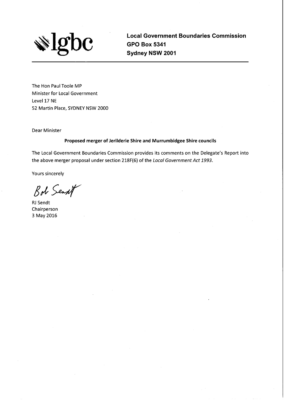

**Local Government Boundaries Commission GPO Box 5341** Sydney NSW 2001

The Hon Paul Toole MP Minister for Local Government Level 17 NE 52 Martin Place, SYDNEY NSW 2000

**Dear Minister** 

#### Proposed merger of Jerilderie Shire and Murrumbidgee Shire councils

The Local Government Boundaries Commission provides its comments on the Delegate's Report into the above merger proposal under section 218F(6) of the Local Government Act 1993.

Yours sincerely

Bob Sent

**RJ** Sendt Chairperson 3 May 2016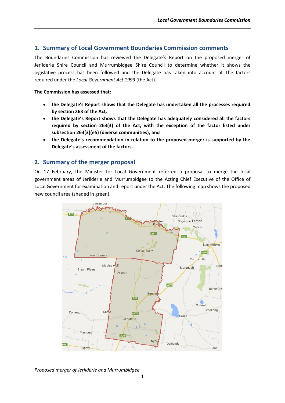# **1. Summary of Local Government Boundaries Commission comments**

The Boundaries Commission has reviewed the Delegate's Report on the proposed merger of Jerilderie Shire Council and Murrumbidgee Shire Council to determine whether it shows the legislative process has been followed and the Delegate has taken into account all the factors required under the *Local Government Act 1993* (the Act).

#### **The Commission has assessed that:**

- **the Delegate's Report shows that the Delegate has undertaken all the processes required by section 263 of the Act***,*
- **the Delegate's Report shows that the Delegate has adequately considered all the factors required by section 263(3) of the Act, with the exception of the factor listed under subsection 263(3)(e5) (diverse communities), and**
- **the Delegate's recommendation in relation to the proposed merger is supported by the Delegate's assessment of the factors.**

# **2. Summary of the merger proposal**

On 17 February, the Minister for Local Government referred a proposal to merge the local government areas of Jerilderie and Murrumbidgee to the Acting Chief Executive of the Office of Local Government for examination and report under the Act. The following map shows the proposed new council area (shaded in green).



*Proposed merger of Jerilderie and Murrumbidgee*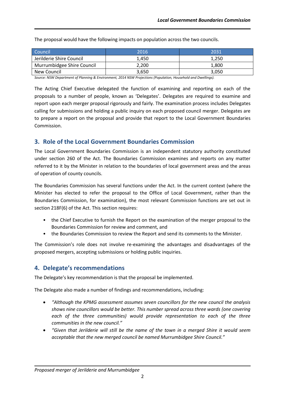| Council <sup>1</sup>       | 2016  | 2031  |
|----------------------------|-------|-------|
| Jerilderie Shire Council   | 1.450 | 1.250 |
| Murrumbidgee Shire Council | 2.200 | 1.800 |
| New Council                | 3,650 | 3,050 |

The proposal would have the following impacts on population across the two councils.

*Source: NSW Department of Planning & Environment, 2014 NSW Projections (Population, Household and Dwellings).*

The Acting Chief Executive delegated the function of examining and reporting on each of the proposals to a number of people, known as 'Delegates'. Delegates are required to examine and report upon each merger proposal rigorously and fairly. The examination process includes Delegates calling for submissions and holding a public inquiry on each proposed council merger. Delegates are to prepare a report on the proposal and provide that report to the Local Government Boundaries Commission.

# **3. Role of the Local Government Boundaries Commission**

The Local Government Boundaries Commission is an independent statutory authority constituted under section 260 of the Act. The Boundaries Commission examines and reports on any matter referred to it by the Minister in relation to the boundaries of local government areas and the areas of operation of county councils.

The Boundaries Commission has several functions under the Act. In the current context (where the Minister has elected to refer the proposal to the Office of Local Government, rather than the Boundaries Commission, for examination), the most relevant Commission functions are set out in section 218F(6) of the Act. This section requires:

- the Chief Executive to furnish the Report on the examination of the merger proposal to the Boundaries Commission for review and comment, and
- the Boundaries Commission to review the Report and send its comments to the Minister.

The Commission's role does not involve re-examining the advantages and disadvantages of the proposed mergers, accepting submissions or holding public inquiries.

# **4. Delegate's recommendations**

The Delegate's key recommendation is that the proposal be implemented.

The Delegate also made a number of findings and recommendations, including:

- *"Although the KPMG assessment assumes seven councillors for the new council the analysis shows nine councillors would be better. This number spread across three wards (one covering*  each of the three communities) would provide representation to each of the three *communities in the new council."*
- *"Given that Jerilderie will still be the name of the town in a merged Shire it would seem acceptable that the new merged council be named Murrumbidgee Shire Council."*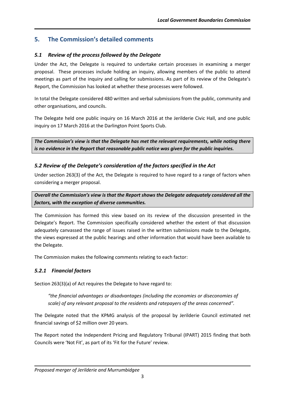# **5. The Commission's detailed comments**

# *5.1 Review of the process followed by the Delegate*

Under the Act, the Delegate is required to undertake certain processes in examining a merger proposal. These processes include holding an inquiry, allowing members of the public to attend meetings as part of the inquiry and calling for submissions. As part of its review of the Delegate's Report, the Commission has looked at whether these processes were followed.

In total the Delegate considered 480 written and verbal submissions from the public, community and other organisations, and councils.

The Delegate held one public inquiry on 16 March 2016 at the Jerilderie Civic Hall, and one public inquiry on 17 March 2016 at the Darlington Point Sports Club.

*The Commission's view is that the Delegate has met the relevant requirements, while noting there is no evidence in the Report that reasonable public notice was given for the public inquiries.*

# *5.2 Review of the Delegate's consideration of the factors specified in the Act*

Under section 263(3) of the Act, the Delegate is required to have regard to a range of factors when considering a merger proposal.

*Overall the Commission's view is that the Report shows the Delegate adequately considered all the factors, with the exception of diverse communities.*

The Commission has formed this view based on its review of the discussion presented in the Delegate's Report. The Commission specifically considered whether the extent of that discussion adequately canvassed the range of issues raised in the written submissions made to the Delegate, the views expressed at the public hearings and other information that would have been available to the Delegate.

The Commission makes the following comments relating to each factor:

# *5.2.1 Financial factors*

Section 263(3)(a) of Act requires the Delegate to have regard to:

*"the financial advantages or disadvantages (including the economies or diseconomies of scale) of any relevant proposal to the residents and ratepayers of the areas concerned".*

The Delegate noted that the KPMG analysis of the proposal by Jerilderie Council estimated net financial savings of \$2 million over 20 years.

The Report noted the Independent Pricing and Regulatory Tribunal (IPART) 2015 finding that both Councils were 'Not Fit', as part of its 'Fit for the Future' review.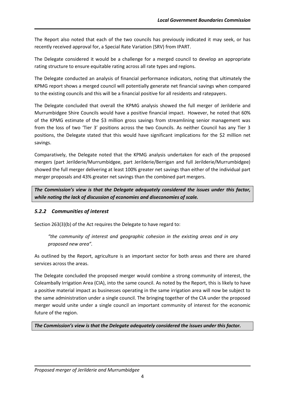The Report also noted that each of the two councils has previously indicated it may seek, or has recently received approval for, a Special Rate Variation (SRV) from IPART.

The Delegate considered it would be a challenge for a merged council to develop an appropriate rating structure to ensure equitable rating across all rate types and regions.

The Delegate conducted an analysis of financial performance indicators, noting that ultimately the KPMG report shows a merged council will potentially generate net financial savings when compared to the existing councils and this will be a financial positive for all residents and ratepayers.

The Delegate concluded that overall the KPMG analysis showed the full merger of Jerilderie and Murrumbidgee Shire Councils would have a positive financial impact. However, he noted that 60% of the KPMG estimate of the \$3 million gross savings from streamlining senior management was from the loss of two 'Tier 3' positions across the two Councils. As neither Council has any Tier 3 positions, the Delegate stated that this would have significant implications for the \$2 million net savings.

Comparatively, the Delegate noted that the KPMG analysis undertaken for each of the proposed mergers (part Jerilderie/Murrumbidgee, part Jerilderie/Berrigan and full Jerilderie/Murrumbidgee) showed the full merger delivering at least 100% greater net savings than either of the individual part merger proposals and 43% greater net savings than the combined part mergers.

*The Commission's view is that the Delegate adequately considered the issues under this factor, while noting the lack of discussion of economies and diseconomies of scale.* 

# *5.2.2 Communities of interest*

Section 263(3)(b) of the Act requires the Delegate to have regard to:

*"the community of interest and geographic cohesion in the existing areas and in any proposed new area".*

As outlined by the Report, agriculture is an important sector for both areas and there are shared services across the areas.

The Delegate concluded the proposed merger would combine a strong community of interest, the Coleambally Irrigation Area (CIA), into the same council. As noted by the Report, this is likely to have a positive material impact as businesses operating in the same irrigation area will now be subject to the same administration under a single council. The bringing together of the CIA under the proposed merger would unite under a single council an important community of interest for the economic future of the region.

*The Commission's view is that the Delegate adequately considered the issues under this factor.*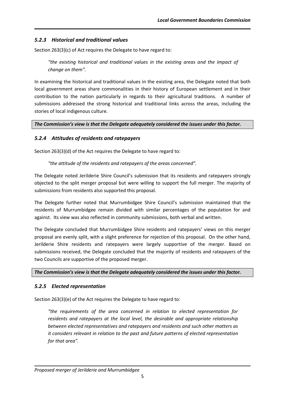## *5.2.3 Historical and traditional values*

Section 263(3)(c) of Act requires the Delegate to have regard to:

*"the existing historical and traditional values in the existing areas and the impact of change on them".*

In examining the historical and traditional values in the existing area, the Delegate noted that both local government areas share commonalities in their history of European settlement and in their contribution to the nation particularly in regards to their agricultural traditions. A number of submissions addressed the strong historical and traditional links across the areas, including the stories of local indigenous culture.

#### *The Commission's view is that the Delegate adequately considered the issues under this factor.*

## *5.2.4 Attitudes of residents and ratepayers*

Section 263(3)(d) of the Act requires the Delegate to have regard to:

*"the attitude of the residents and ratepayers of the areas concerned".*

The Delegate noted Jerilderie Shire Council's submission that its residents and ratepayers strongly objected to the split merger proposal but were willing to support the full merger. The majority of submissions from residents also supported this proposal.

The Delegate further noted that Murrumbidgee Shire Council's submission maintained that the residents of Murrumbidgee remain divided with similar percentages of the population for and against. Its view was also reflected in community submissions, both verbal and written.

The Delegate concluded that Murrumbidgee Shire residents and ratepayers' views on this merger proposal are evenly split, with a slight preference for rejection of this proposal. On the other hand, Jerilderie Shire residents and ratepayers were largely supportive of the merger. Based on submissions received, the Delegate concluded that the majority of residents and ratepayers of the two Councils are supportive of the proposed merger.

*The Commission's view is that the Delegate adequately considered the issues under this factor.* 

#### *5.2.5 Elected representation*

Section 263(3)(e) of the Act requires the Delegate to have regard to:

*"the requirements of the area concerned in relation to elected representation for residents and ratepayers at the local level, the desirable and appropriate relationship between elected representatives and ratepayers and residents and such other matters as it considers relevant in relation to the past and future patterns of elected representation for that area".*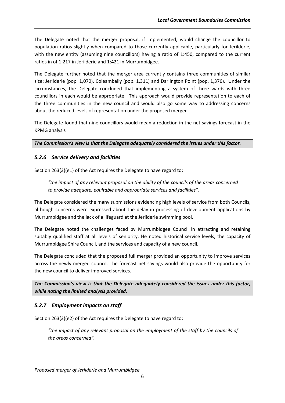The Delegate noted that the merger proposal, if implemented, would change the councillor to population ratios slightly when compared to those currently applicable, particularly for Jerilderie, with the new entity (assuming nine councillors) having a ratio of 1:450, compared to the current ratios in of 1:217 in Jerilderie and 1:421 in Murrumbidgee.

The Delegate further noted that the merger area currently contains three communities of similar size: Jerilderie (pop. 1,070), Coleambally (pop. 1,311) and Darlington Point (pop. 1,376). Under the circumstances, the Delegate concluded that implementing a system of three wards with three councillors in each would be appropriate. This approach would provide representation to each of the three communities in the new council and would also go some way to addressing concerns about the reduced levels of representation under the proposed merger.

The Delegate found that nine councillors would mean a reduction in the net savings forecast in the KPMG analysis

*The Commission's view is that the Delegate adequately considered the issues under this factor.*

#### *5.2.6 Service delivery and facilities*

Section 263(3)(e1) of the Act requires the Delegate to have regard to:

*"the impact of any relevant proposal on the ability of the councils of the areas concerned to provide adequate, equitable and appropriate services and facilities".*

The Delegate considered the many submissions evidencing high levels of service from both Councils, although concerns were expressed about the delay in processing of development applications by Murrumbidgee and the lack of a lifeguard at the Jerilderie swimming pool.

The Delegate noted the challenges faced by Murrumbidgee Council in attracting and retaining suitably qualified staff at all levels of seniority. He noted historical service levels, the capacity of Murrumbidgee Shire Council, and the services and capacity of a new council.

The Delegate concluded that the proposed full merger provided an opportunity to improve services across the newly merged council. The forecast net savings would also provide the opportunity for the new council to deliver improved services.

*The Commission's view is that the Delegate adequately considered the issues under this factor, while noting the limited analysis provided.* 

#### *5.2.7 Employment impacts on staff*

Section 263(3)(e2) of the Act requires the Delegate to have regard to:

*"the impact of any relevant proposal on the employment of the staff by the councils of the areas concerned".*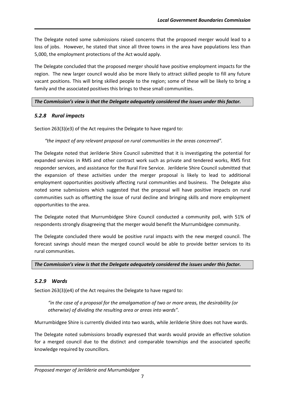The Delegate noted some submissions raised concerns that the proposed merger would lead to a loss of jobs. However, he stated that since all three towns in the area have populations less than 5,000, the employment protections of the Act would apply.

The Delegate concluded that the proposed merger should have positive employment impacts for the region. The new larger council would also be more likely to attract skilled people to fill any future vacant positions. This will bring skilled people to the region; some of these will be likely to bring a family and the associated positives this brings to these small communities.

## *The Commission's view is that the Delegate adequately considered the issues under this factor.*

# *5.2.8 Rural impacts*

Section 263(3)(e3) of the Act requires the Delegate to have regard to:

*"the impact of any relevant proposal on rural communities in the areas concerned".*

The Delegate noted that Jerilderie Shire Council submitted that it is investigating the potential for expanded services in RMS and other contract work such as private and tendered works, RMS first responder services, and assistance for the Rural Fire Service. Jerilderie Shire Council submitted that the expansion of these activities under the merger proposal is likely to lead to additional employment opportunities positively affecting rural communities and business. The Delegate also noted some submissions which suggested that the proposal will have positive impacts on rural communities such as offsetting the issue of rural decline and bringing skills and more employment opportunities to the area.

The Delegate noted that Murrumbidgee Shire Council conducted a community poll, with 51% of respondents strongly disagreeing that the merger would benefit the Murrumbidgee community.

The Delegate concluded there would be positive rural impacts with the new merged council. The forecast savings should mean the merged council would be able to provide better services to its rural communities.

#### *The Commission's view is that the Delegate adequately considered the issues under this factor.*

# *5.2.9 Wards*

Section 263(3)(e4) of the Act requires the Delegate to have regard to:

*"in the case of a proposal for the amalgamation of two or more areas, the desirability (or otherwise) of dividing the resulting area or areas into wards".*

Murrumbidgee Shire is currently divided into two wards, while Jerilderie Shire does not have wards.

The Delegate noted submissions broadly expressed that wards would provide an effective solution for a merged council due to the distinct and comparable townships and the associated specific knowledge required by councillors.